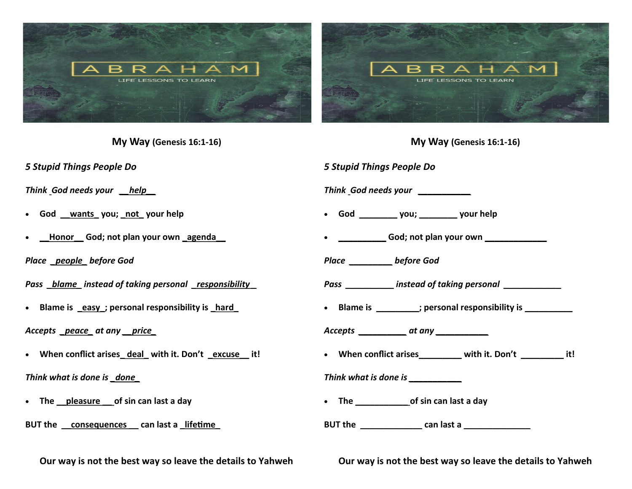

**My Way (Genesis 16:1-16)**

*5 Stupid Things People Do*

*Think God needs your \_\_help\_\_*

- **God \_\_wants\_ you; \_not\_ your help**
- **\_\_Honor\_\_ God; not plan your own \_agenda\_\_**

*Place \_people\_ before God*

*Pass \_blame\_ instead of taking personal \_responsibility \_*

• **Blame is \_easy\_; personal responsibility is \_hard\_**

*Accepts \_peace\_ at any \_\_price\_*

• **When conflict arises\_ deal\_ with it. Don't \_excuse\_\_ it!**

*Think what is done is \_done\_*

- The pleasure of sin can last a day
- **BUT the \_\_consequences \_\_ can last a \_lifetime\_**

**Our way is not the best way so leave the details to Yahweh** 

*5 Stupid Things People Do Think God needs your \_\_\_\_\_\_\_\_\_\_\_* • **God \_\_\_\_\_\_\_\_ you; \_\_\_\_\_\_\_\_ your help** • **\_\_\_\_\_\_\_\_\_\_ God; not plan your own \_\_\_\_\_\_\_\_\_\_\_\_\_** *Place \_\_\_\_\_\_\_\_\_ before God Pass \_\_\_\_\_\_\_\_\_\_ instead of taking personal \_\_\_\_\_\_\_\_\_\_\_\_* • **Blame is \_\_\_\_\_\_\_\_\_; personal responsibility is \_\_\_\_\_\_\_\_\_\_** *Accepts \_\_\_\_\_\_\_\_\_\_ at any \_\_\_\_\_\_\_\_\_\_\_* • **When conflict arises\_\_\_\_\_\_\_\_\_ with it. Don't \_\_\_\_\_\_\_\_\_ it!** *Think what is done is \_\_\_\_\_\_\_\_\_\_\_* • **The \_\_\_\_\_\_\_\_\_\_\_ of sin can last a day BUT the \_\_\_\_\_\_\_\_\_\_\_\_\_ can last a \_\_\_\_\_\_\_\_\_\_\_\_\_\_**

**My Way (Genesis 16:1-16)**

**Our way is not the best way so leave the details to Yahweh**